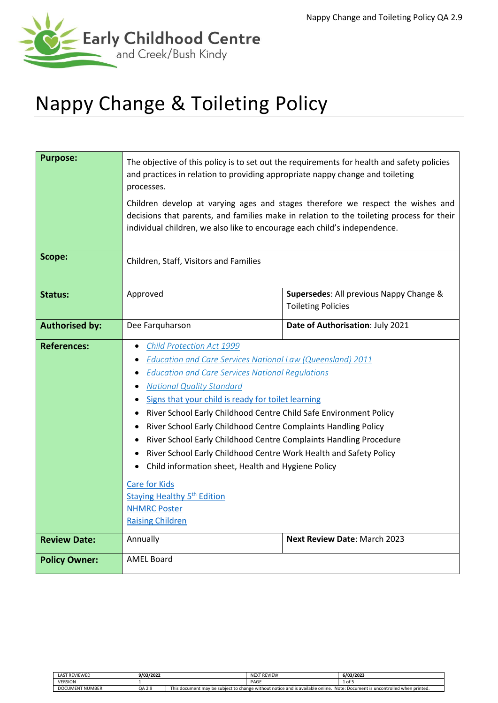

# Nappy Change & Toileting Policy

| <b>Purpose:</b>       | The objective of this policy is to set out the requirements for health and safety policies<br>and practices in relation to providing appropriate nappy change and toileting<br>processes.<br>Children develop at varying ages and stages therefore we respect the wishes and<br>decisions that parents, and families make in relation to the toileting process for their                                                                                                                                                                                                                                                                                                                                                                                  |  |  |  |  |
|-----------------------|-----------------------------------------------------------------------------------------------------------------------------------------------------------------------------------------------------------------------------------------------------------------------------------------------------------------------------------------------------------------------------------------------------------------------------------------------------------------------------------------------------------------------------------------------------------------------------------------------------------------------------------------------------------------------------------------------------------------------------------------------------------|--|--|--|--|
|                       | individual children, we also like to encourage each child's independence.                                                                                                                                                                                                                                                                                                                                                                                                                                                                                                                                                                                                                                                                                 |  |  |  |  |
| Scope:                | Children, Staff, Visitors and Families                                                                                                                                                                                                                                                                                                                                                                                                                                                                                                                                                                                                                                                                                                                    |  |  |  |  |
| <b>Status:</b>        | Approved<br>Supersedes: All previous Nappy Change &<br><b>Toileting Policies</b>                                                                                                                                                                                                                                                                                                                                                                                                                                                                                                                                                                                                                                                                          |  |  |  |  |
| <b>Authorised by:</b> | Dee Farquharson<br>Date of Authorisation: July 2021                                                                                                                                                                                                                                                                                                                                                                                                                                                                                                                                                                                                                                                                                                       |  |  |  |  |
| <b>References:</b>    | Child Protection Act 1999<br><b>Education and Care Services National Law (Queensland) 2011</b><br><b>Education and Care Services National Regulations</b><br><b>National Quality Standard</b><br>٠<br>Signs that your child is ready for toilet learning<br>River School Early Childhood Centre Child Safe Environment Policy<br>$\bullet$<br>River School Early Childhood Centre Complaints Handling Policy<br>٠<br>River School Early Childhood Centre Complaints Handling Procedure<br>$\bullet$<br>River School Early Childhood Centre Work Health and Safety Policy<br>Child information sheet, Health and Hygiene Policy<br><b>Care for Kids</b><br><b>Staying Healthy 5<sup>th</sup> Edition</b><br><b>NHMRC Poster</b><br><b>Raising Children</b> |  |  |  |  |
| <b>Review Date:</b>   | Annually<br><b>Next Review Date: March 2023</b>                                                                                                                                                                                                                                                                                                                                                                                                                                                                                                                                                                                                                                                                                                           |  |  |  |  |
| <b>Policy Owner:</b>  | <b>AMEL Board</b>                                                                                                                                                                                                                                                                                                                                                                                                                                                                                                                                                                                                                                                                                                                                         |  |  |  |  |

| <b>LAST REVIEWED</b>   | 9/03/2022 |  | <b>NEXT REVIEW</b>                                                             | 6/03/2023                                    |
|------------------------|-----------|--|--------------------------------------------------------------------------------|----------------------------------------------|
| <b>VERSION</b>         |           |  | PAGE                                                                           | 1 of 5                                       |
| <b>DOCUMENT NUMBER</b> | QA 2.9    |  | This document may be subject to change without notice and is available online. | Note: Document is uncontrolled when printed. |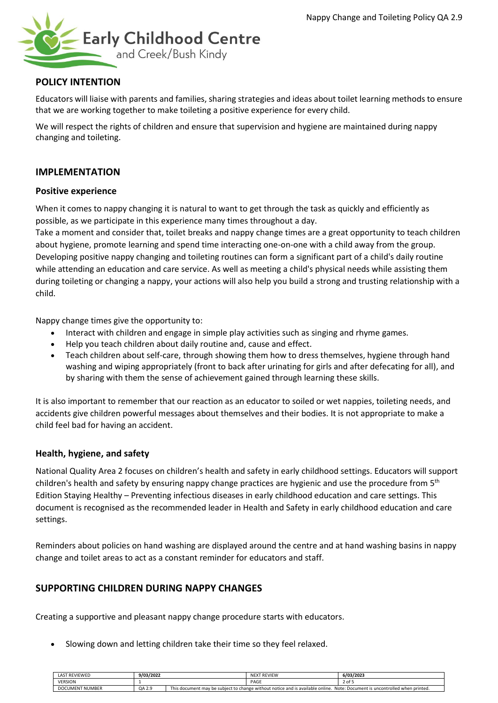

# **POLICY INTENTION**

Educators will liaise with parents and families, sharing strategies and ideas about toilet learning methods to ensure that we are working together to make toileting a positive experience for every child.

We will respect the rights of children and ensure that supervision and hygiene are maintained during nappy changing and toileting.

### **IMPLEMENTATION**

#### **Positive experience**

When it comes to nappy changing it is natural to want to get through the task as quickly and efficiently as possible, as we participate in this experience many times throughout a day.

Take a moment and consider that, toilet breaks and nappy change times are a great opportunity to teach children about hygiene, promote learning and spend time interacting one-on-one with a child away from the group. Developing positive nappy changing and toileting routines can form a significant part of a child's daily routine while attending an education and care service. As well as meeting a child's physical needs while assisting them during toileting or changing a nappy, your actions will also help you build a strong and trusting relationship with a child.

Nappy change times give the opportunity to:

- Interact with children and engage in simple play activities such as singing and rhyme games.
- Help you teach children about daily routine and, cause and effect.
- Teach children about self-care, through showing them how to dress themselves, hygiene through hand washing and wiping appropriately (front to back after urinating for girls and after defecating for all), and by sharing with them the sense of achievement gained through learning these skills.

It is also important to remember that our reaction as an educator to soiled or wet nappies, toileting needs, and accidents give children powerful messages about themselves and their bodies. It is not appropriate to make a child feel bad for having an accident.

#### **Health, hygiene, and safety**

National Quality Area 2 focuses on children's health and safety in early childhood settings. Educators will support children's health and safety by ensuring nappy change practices are hygienic and use the procedure from 5<sup>th</sup> Edition Staying Healthy – Preventing infectious diseases in early childhood education and care settings. This document is recognised as the recommended leader in Health and Safety in early childhood education and care settings.

Reminders about policies on hand washing are displayed around the centre and at hand washing basins in nappy change and toilet areas to act as a constant reminder for educators and staff.

## **SUPPORTING CHILDREN DURING NAPPY CHANGES**

Creating a supportive and pleasant nappy change procedure starts with educators.

• Slowing down and letting children take their time so they feel relaxed.

| <b>LAST REVIEWED</b>   | 9/03/2022 |  | <b>NEXT REVIEW</b> | 6/03/2023                                                                                                                   |
|------------------------|-----------|--|--------------------|-----------------------------------------------------------------------------------------------------------------------------|
| <b>VERSION</b>         |           |  | PAGE               | 2 of 5                                                                                                                      |
| <b>DOCUMENT NUMBER</b> | QA 2.9    |  |                    | This document may be subject to change without notice and is available online. Note: Document is uncontrolled when printed. |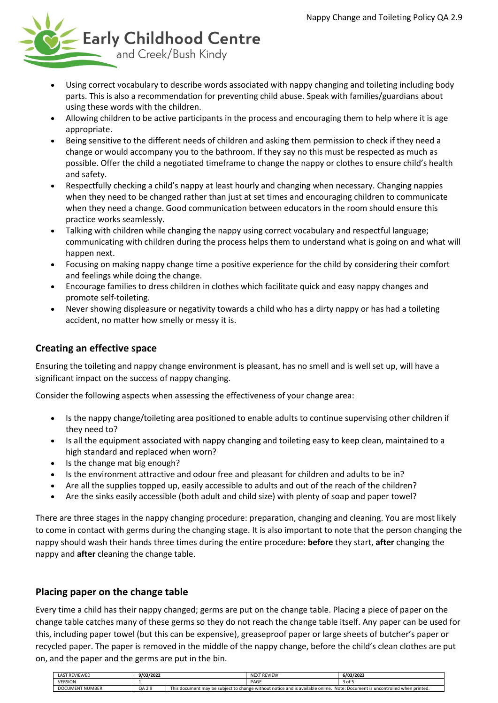

- Using correct vocabulary to describe words associated with nappy changing and toileting including body parts. This is also a recommendation for preventing child abuse. Speak with families/guardians about using these words with the children.
- Allowing children to be active participants in the process and encouraging them to help where it is age appropriate.
- Being sensitive to the different needs of children and asking them permission to check if they need a change or would accompany you to the bathroom. If they say no this must be respected as much as possible. Offer the child a negotiated timeframe to change the nappy or clothes to ensure child's health and safety.
- Respectfully checking a child's nappy at least hourly and changing when necessary. Changing nappies when they need to be changed rather than just at set times and encouraging children to communicate when they need a change. Good communication between educators in the room should ensure this practice works seamlessly.
- Talking with children while changing the nappy using correct vocabulary and respectful language; communicating with children during the process helps them to understand what is going on and what will happen next.
- Focusing on making nappy change time a positive experience for the child by considering their comfort and feelings while doing the change.
- Encourage families to dress children in clothes which facilitate quick and easy nappy changes and promote self-toileting.
- Never showing displeasure or negativity towards a child who has a dirty nappy or has had a toileting accident, no matter how smelly or messy it is.

# **Creating an effective space**

Ensuring the toileting and nappy change environment is pleasant, has no smell and is well set up, will have a significant impact on the success of nappy changing.

Consider the following aspects when assessing the effectiveness of your change area:

- Is the nappy change/toileting area positioned to enable adults to continue supervising other children if they need to?
- Is all the equipment associated with nappy changing and toileting easy to keep clean, maintained to a high standard and replaced when worn?
- Is the change mat big enough?
- Is the environment attractive and odour free and pleasant for children and adults to be in?
- Are all the supplies topped up, easily accessible to adults and out of the reach of the children?
- Are the sinks easily accessible (both adult and child size) with plenty of soap and paper towel?

There are three stages in the nappy changing procedure: preparation, changing and cleaning. You are most likely to come in contact with germs during the changing stage. It is also important to note that the person changing the nappy should wash their hands three times during the entire procedure: **before** they start, **after** changing the nappy and **after** cleaning the change table.

## **Placing paper on the change table**

Every time a child has their nappy changed; germs are put on the change table. Placing a piece of paper on the change table catches many of these germs so they do not reach the change table itself. Any paper can be used for this, including paper towel (but this can be expensive), greaseproof paper or large sheets of butcher's paper or recycled paper. The paper is removed in the middle of the nappy change, before the child's clean clothes are put on, and the paper and the germs are put in the bin.

| <b>LAST REVIEWED</b>   | 9/03/2022 |                                                                                                                                  | <b>NEXT REVIEW</b> | 6/03/2023 |
|------------------------|-----------|----------------------------------------------------------------------------------------------------------------------------------|--------------------|-----------|
| <b>VERSION</b>         |           |                                                                                                                                  | PAGE               | 3 of 5    |
| <b>DOCUMENT NUMBER</b> | QA 2.9    | This document may be subject to change without notice and is available online.<br>. Note: Document is uncontrolled when printed. |                    |           |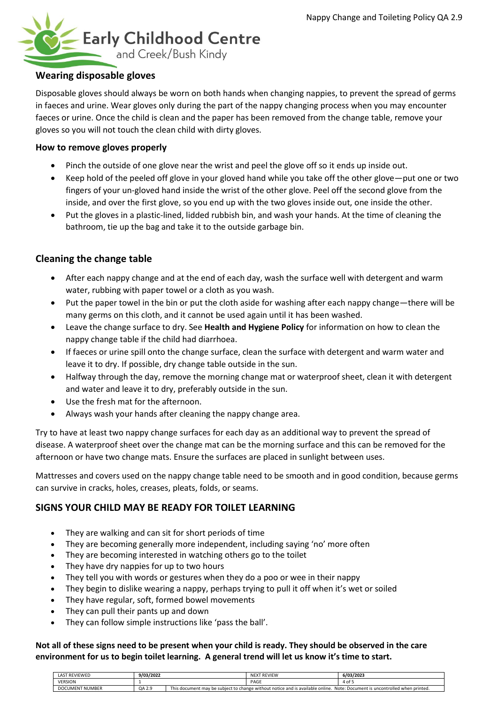

## **Wearing disposable gloves**

Disposable gloves should always be worn on both hands when changing nappies, to prevent the spread of germs in faeces and urine. Wear gloves only during the part of the nappy changing process when you may encounter faeces or urine. Once the child is clean and the paper has been removed from the change table, remove your gloves so you will not touch the clean child with dirty gloves.

#### **How to remove gloves properly**

- Pinch the outside of one glove near the wrist and peel the glove off so it ends up inside out.
- Keep hold of the peeled off glove in your gloved hand while you take off the other glove—put one or two fingers of your un-gloved hand inside the wrist of the other glove. Peel off the second glove from the inside, and over the first glove, so you end up with the two gloves inside out, one inside the other.
- Put the gloves in a plastic-lined, lidded rubbish bin, and wash your hands. At the time of cleaning the bathroom, tie up the bag and take it to the outside garbage bin.

# **Cleaning the change table**

- After each nappy change and at the end of each day, wash the surface well with detergent and warm water, rubbing with paper towel or a cloth as you wash.
- Put the paper towel in the bin or put the cloth aside for washing after each nappy change—there will be many germs on this cloth, and it cannot be used again until it has been washed.
- Leave the change surface to dry. See **Health and Hygiene Policy** for information on how to clean the nappy change table if the child had diarrhoea.
- If faeces or urine spill onto the change surface, clean the surface with detergent and warm water and leave it to dry. If possible, dry change table outside in the sun.
- Halfway through the day, remove the morning change mat or waterproof sheet, clean it with detergent and water and leave it to dry, preferably outside in the sun.
- Use the fresh mat for the afternoon.
- Always wash your hands after cleaning the nappy change area.

Try to have at least two nappy change surfaces for each day as an additional way to prevent the spread of disease. A waterproof sheet over the change mat can be the morning surface and this can be removed for the afternoon or have two change mats. Ensure the surfaces are placed in sunlight between uses.

Mattresses and covers used on the nappy change table need to be smooth and in good condition, because germs can survive in cracks, holes, creases, pleats, folds, or seams.

## **SIGNS YOUR CHILD MAY BE READY FOR TOILET LEARNING**

- They are walking and can sit for short periods of time
- They are becoming generally more independent, including saying 'no' more often
- They are becoming interested in watching others go to the toilet
- They have dry nappies for up to two hours
- They tell you with words or gestures when they do a poo or wee in their nappy
- They begin to dislike wearing a nappy, perhaps trying to pull it off when it's wet or soiled
- They have regular, soft, formed bowel movements
- They can pull their pants up and down
- They can follow simple instructions like 'pass the ball'.

#### **Not all of these signs need to be present when your child is ready. They should be observed in the care environment for us to begin toilet learning. A general trend will let us know it's time to start.**

| LAST REVIEWED          | 9/03/2022 |                                                                                                                             | <b>NEXT REVIEW</b> | 6/03/2023 |
|------------------------|-----------|-----------------------------------------------------------------------------------------------------------------------------|--------------------|-----------|
| <b>VERSION</b>         |           |                                                                                                                             | PAGE               | 4 of 5    |
| <b>DOCUMENT NUMBER</b> | QA 2.9    | This document may be subject to change without notice and is available online. Note: Document is uncontrolled when printed. |                    |           |